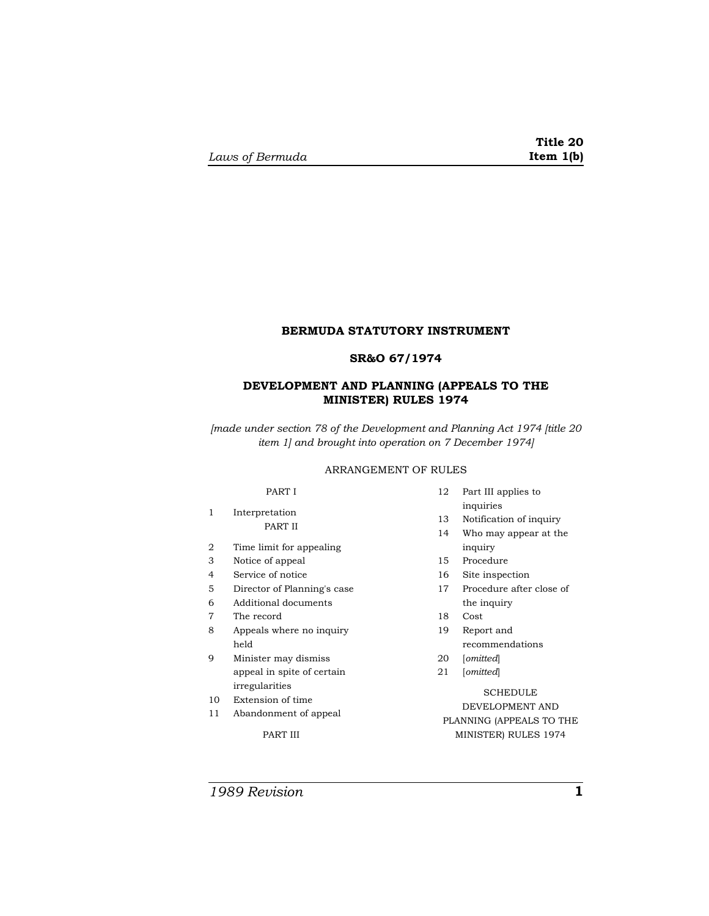# **BERMUDA STATUTORY INSTRUMENT**

## **SR&O 67/1974**

# **DEVELOPMENT AND PLANNING (APPEALS TO THE MINISTER) RULES 1974**

*[made under section 78 of the Development and Planning Act 1974 [title 20 item 1] and brought into operation on 7 December 1974]* 

## ARRANGEMENT OF RULES

## PART I

### 1 Interpretation PART II

- 2 Time limit for appealing
- 3 Notice of appeal
- 4 Service of notice
- 5 Director of Planning's case
- 6 Additional documents
- 7 The record
- 8 Appeals where no inquiry held
- 9 Minister may dismiss appeal in spite of certain irregularities
- 10 Extension of time
- 11 Abandonment of appeal

PART III

- 12 Part III applies to inquiries
- 13 Notification of inquiry
- 14 Who may appear at the inquiry
- 15 Procedure
- 16 Site inspection
- 17 Procedure after close of the inquiry
- 18 Cost
- 19 Report and recommendations
- 20 [*omitted*]
- 21 [*omitted*]

# **SCHEDULE** DEVELOPMENT AND PLANNING (APPEALS TO THE MINISTER) RULES 1974

*1989 Revision* **1**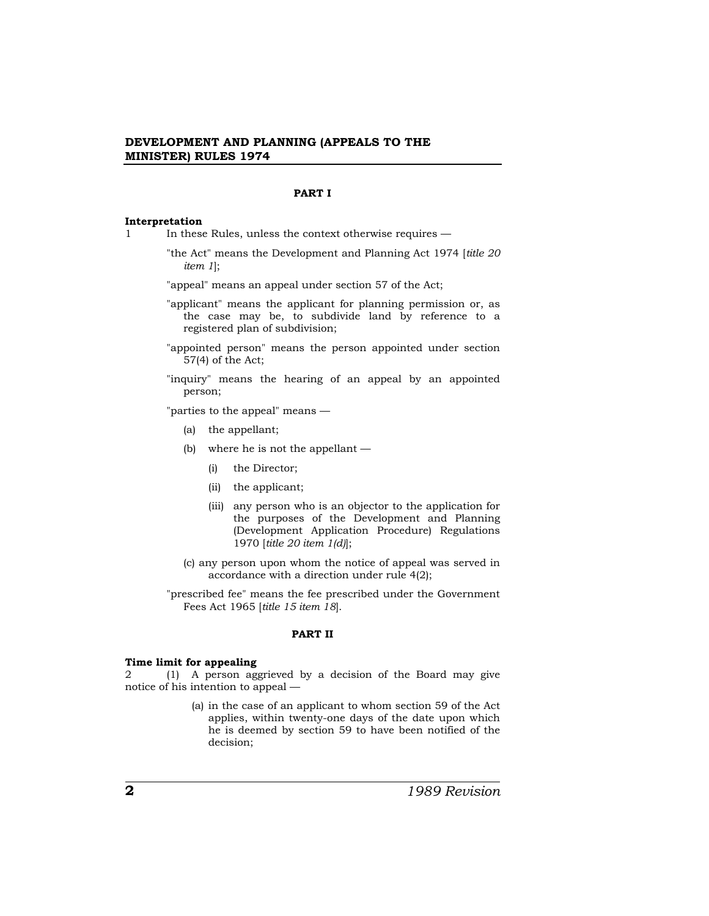#### **PART I**

#### **Interpretation**

- 1 In these Rules, unless the context otherwise requires
	- "the Act" means the Development and Planning Act 1974 [*title 20 item 1*];

"appeal" means an appeal under section 57 of the Act;

- "applicant" means the applicant for planning permission or, as the case may be, to subdivide land by reference to a registered plan of subdivision;
- "appointed person" means the person appointed under section 57(4) of the Act;
- "inquiry" means the hearing of an appeal by an appointed person;

"parties to the appeal" means —

- (a) the appellant;
- (b) where he is not the appellant
	- (i) the Director;
	- (ii) the applicant;
	- (iii) any person who is an objector to the application for the purposes of the Development and Planning (Development Application Procedure) Regulations 1970 [*title 20 item 1(d)*];
- (c) any person upon whom the notice of appeal was served in accordance with a direction under rule 4(2);
- "prescribed fee" means the fee prescribed under the Government Fees Act 1965 [*title 15 item 18*].

#### **PART II**

#### **Time limit for appealing**

2 (1) A person aggrieved by a decision of the Board may give notice of his intention to appeal —

> (a) in the case of an applicant to whom section 59 of the Act applies, within twenty-one days of the date upon which he is deemed by section 59 to have been notified of the decision;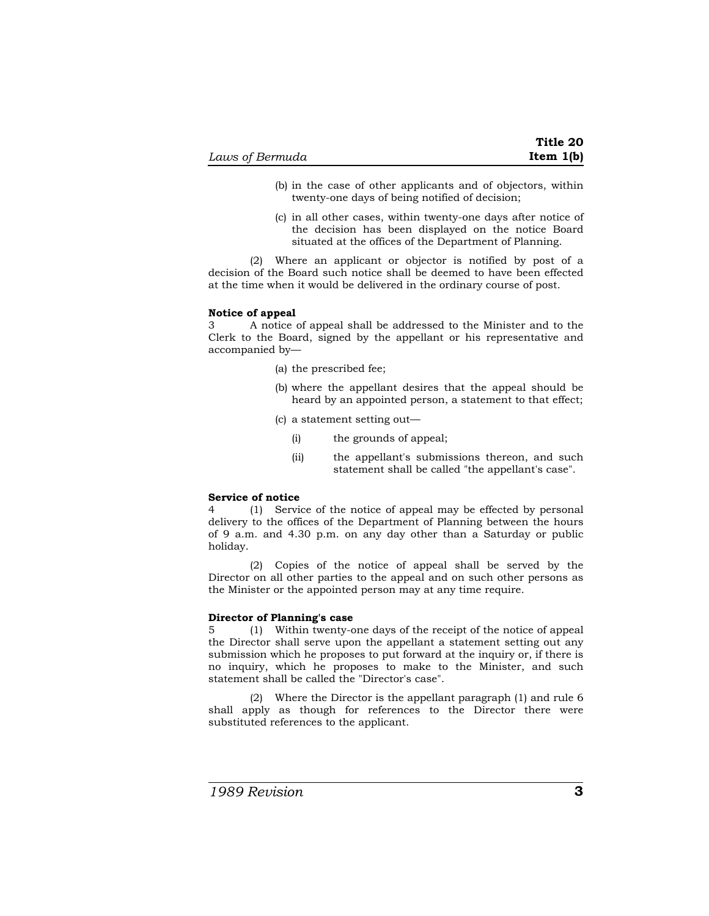- (b) in the case of other applicants and of objectors, within twenty-one days of being notified of decision;
- (c) in all other cases, within twenty-one days after notice of the decision has been displayed on the notice Board situated at the offices of the Department of Planning.

(2) Where an applicant or objector is notified by post of a decision of the Board such notice shall be deemed to have been effected at the time when it would be delivered in the ordinary course of post.

## **Notice of appeal**

3 A notice of appeal shall be addressed to the Minister and to the Clerk to the Board, signed by the appellant or his representative and accompanied by—

- (a) the prescribed fee;
- (b) where the appellant desires that the appeal should be heard by an appointed person, a statement to that effect;
- (c) a statement setting out—
	- (i) the grounds of appeal;
	- (ii) the appellant's submissions thereon, and such statement shall be called "the appellant's case".

### **Service of notice**

4 (1) Service of the notice of appeal may be effected by personal delivery to the offices of the Department of Planning between the hours of 9 a.m. and 4.30 p.m. on any day other than a Saturday or public holiday.

(2) Copies of the notice of appeal shall be served by the Director on all other parties to the appeal and on such other persons as the Minister or the appointed person may at any time require.

### **Director of Planning's case**

5 (1) Within twenty-one days of the receipt of the notice of appeal the Director shall serve upon the appellant a statement setting out any submission which he proposes to put forward at the inquiry or, if there is no inquiry, which he proposes to make to the Minister, and such statement shall be called the "Director's case".

(2) Where the Director is the appellant paragraph (1) and rule 6 shall apply as though for references to the Director there were substituted references to the applicant.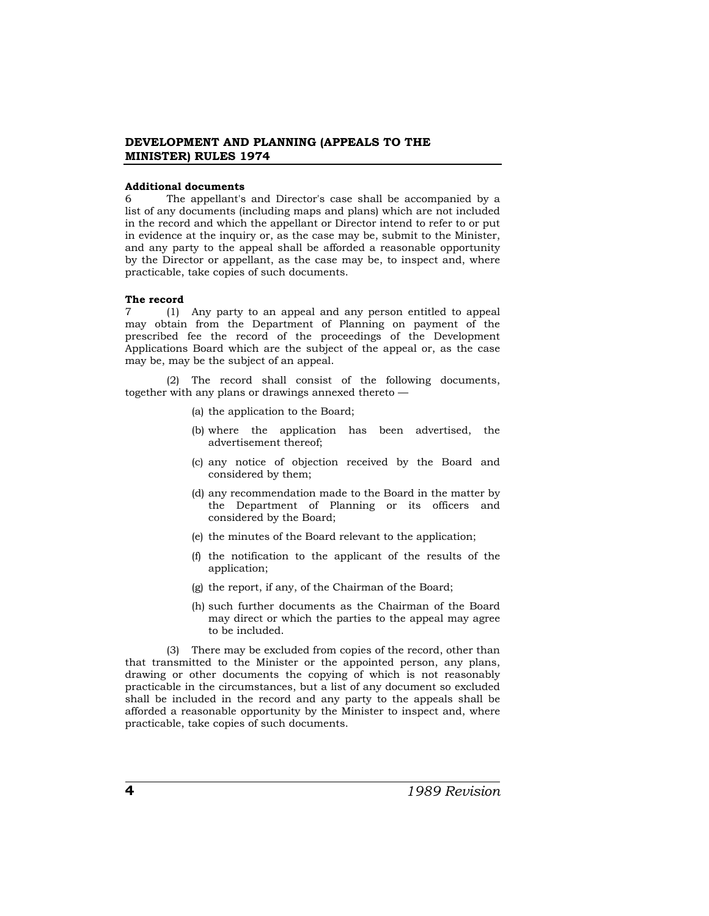### **Additional documents**

6 The appellant's and Director's case shall be accompanied by a list of any documents (including maps and plans) which are not included in the record and which the appellant or Director intend to refer to or put in evidence at the inquiry or, as the case may be, submit to the Minister, and any party to the appeal shall be afforded a reasonable opportunity by the Director or appellant, as the case may be, to inspect and, where practicable, take copies of such documents.

#### **The record**

7 (1) Any party to an appeal and any person entitled to appeal may obtain from the Department of Planning on payment of the prescribed fee the record of the proceedings of the Development Applications Board which are the subject of the appeal or, as the case may be, may be the subject of an appeal.

(2) The record shall consist of the following documents, together with any plans or drawings annexed thereto —

- (a) the application to the Board;
- (b) where the application has been advertised, the advertisement thereof;
- (c) any notice of objection received by the Board and considered by them;
- (d) any recommendation made to the Board in the matter by the Department of Planning or its officers and considered by the Board;
- (e) the minutes of the Board relevant to the application;
- (f) the notification to the applicant of the results of the application;
- (g) the report, if any, of the Chairman of the Board;
- (h) such further documents as the Chairman of the Board may direct or which the parties to the appeal may agree to be included.

(3) There may be excluded from copies of the record, other than that transmitted to the Minister or the appointed person, any plans, drawing or other documents the copying of which is not reasonably practicable in the circumstances, but a list of any document so excluded shall be included in the record and any party to the appeals shall be afforded a reasonable opportunity by the Minister to inspect and, where practicable, take copies of such documents.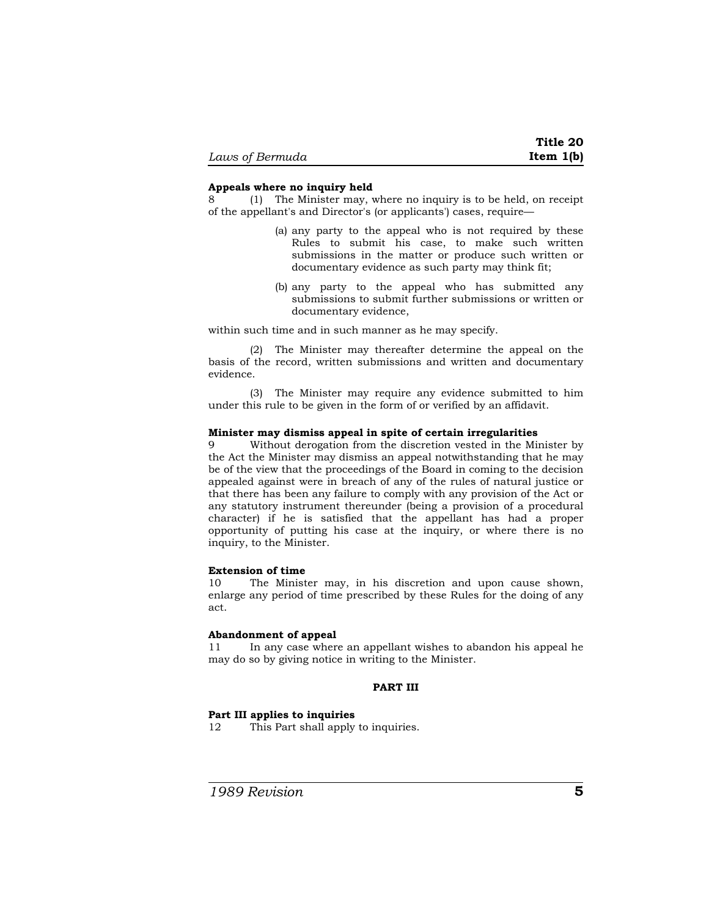## **Appeals where no inquiry held**

8 (1) The Minister may, where no inquiry is to be held, on receipt of the appellant's and Director's (or applicants') cases, require—

- (a) any party to the appeal who is not required by these Rules to submit his case, to make such written submissions in the matter or produce such written or documentary evidence as such party may think fit;
- (b) any party to the appeal who has submitted any submissions to submit further submissions or written or documentary evidence,

within such time and in such manner as he may specify.

(2) The Minister may thereafter determine the appeal on the basis of the record, written submissions and written and documentary evidence.

(3) The Minister may require any evidence submitted to him under this rule to be given in the form of or verified by an affidavit.

### **Minister may dismiss appeal in spite of certain irregularities**

9 Without derogation from the discretion vested in the Minister by the Act the Minister may dismiss an appeal notwithstanding that he may be of the view that the proceedings of the Board in coming to the decision appealed against were in breach of any of the rules of natural justice or that there has been any failure to comply with any provision of the Act or any statutory instrument thereunder (being a provision of a procedural character) if he is satisfied that the appellant has had a proper opportunity of putting his case at the inquiry, or where there is no inquiry, to the Minister.

### **Extension of time**

10 The Minister may, in his discretion and upon cause shown, enlarge any period of time prescribed by these Rules for the doing of any act.

### **Abandonment of appeal**

11 In any case where an appellant wishes to abandon his appeal he may do so by giving notice in writing to the Minister.

## **PART III**

#### **Part III applies to inquiries**

12 This Part shall apply to inquiries.

*1989 Revision* **5**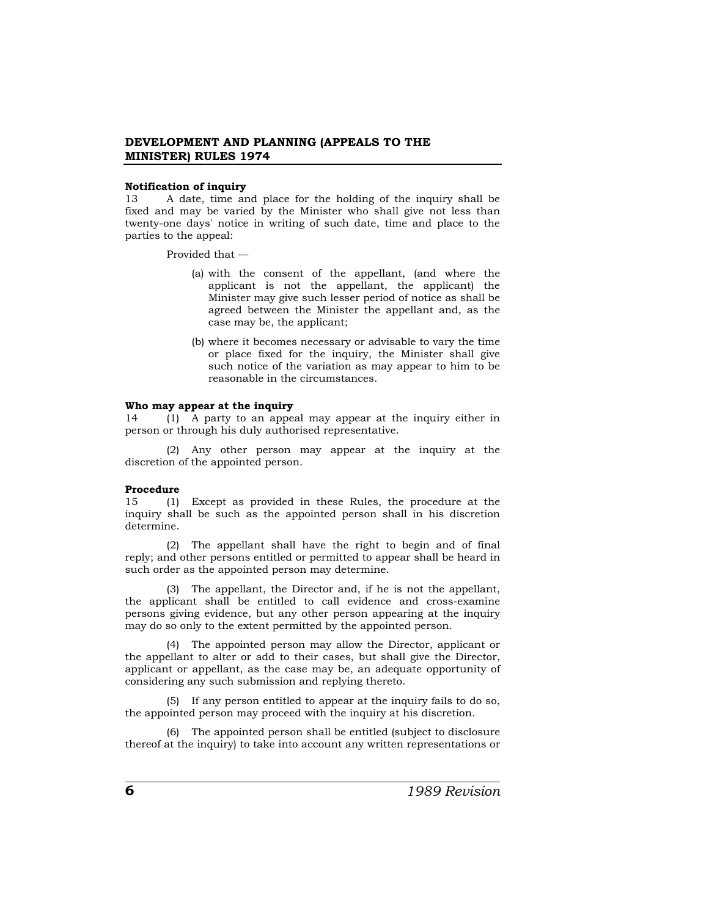### **Notification of inquiry**

13 A date, time and place for the holding of the inquiry shall be fixed and may be varied by the Minister who shall give not less than twenty-one days' notice in writing of such date, time and place to the parties to the appeal:

Provided that —

- (a) with the consent of the appellant, (and where the applicant is not the appellant, the applicant) the Minister may give such lesser period of notice as shall be agreed between the Minister the appellant and, as the case may be, the applicant;
- (b) where it becomes necessary or advisable to vary the time or place fixed for the inquiry, the Minister shall give such notice of the variation as may appear to him to be reasonable in the circumstances.

#### **Who may appear at the inquiry**

14 (1) A party to an appeal may appear at the inquiry either in person or through his duly authorised representative.

(2) Any other person may appear at the inquiry at the discretion of the appointed person.

### **Procedure**

15 (1) Except as provided in these Rules, the procedure at the inquiry shall be such as the appointed person shall in his discretion determine.

(2) The appellant shall have the right to begin and of final reply; and other persons entitled or permitted to appear shall be heard in such order as the appointed person may determine.

(3) The appellant, the Director and, if he is not the appellant, the applicant shall be entitled to call evidence and cross-examine persons giving evidence, but any other person appearing at the inquiry may do so only to the extent permitted by the appointed person.

(4) The appointed person may allow the Director, applicant or the appellant to alter or add to their cases, but shall give the Director, applicant or appellant, as the case may be, an adequate opportunity of considering any such submission and replying thereto.

(5) If any person entitled to appear at the inquiry fails to do so, the appointed person may proceed with the inquiry at his discretion.

(6) The appointed person shall be entitled (subject to disclosure thereof at the inquiry) to take into account any written representations or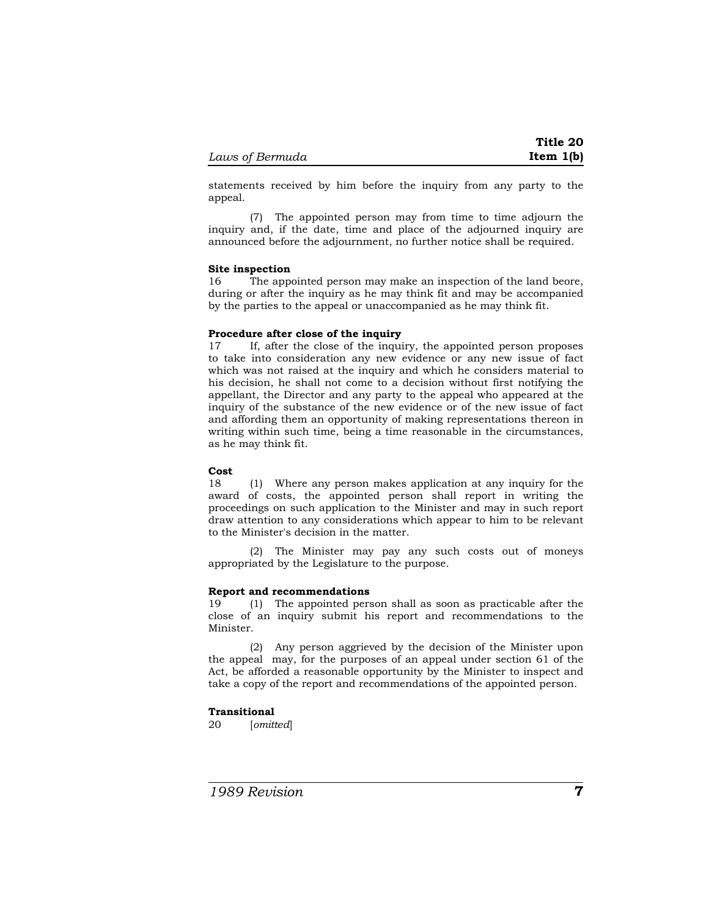statements received by him before the inquiry from any party to the appeal.

(7) The appointed person may from time to time adjourn the inquiry and, if the date, time and place of the adjourned inquiry are announced before the adjournment, no further notice shall be required.

### **Site inspection**

16 The appointed person may make an inspection of the land beore, during or after the inquiry as he may think fit and may be accompanied by the parties to the appeal or unaccompanied as he may think fit.

## **Procedure after close of the inquiry**

17 If, after the close of the inquiry, the appointed person proposes to take into consideration any new evidence or any new issue of fact which was not raised at the inquiry and which he considers material to his decision, he shall not come to a decision without first notifying the appellant, the Director and any party to the appeal who appeared at the inquiry of the substance of the new evidence or of the new issue of fact and affording them an opportunity of making representations thereon in writing within such time, being a time reasonable in the circumstances, as he may think fit.

### **Cost**

18 (1) Where any person makes application at any inquiry for the award of costs, the appointed person shall report in writing the proceedings on such application to the Minister and may in such report draw attention to any considerations which appear to him to be relevant to the Minister's decision in the matter.

(2) The Minister may pay any such costs out of moneys appropriated by the Legislature to the purpose.

#### **Report and recommendations**

19 (1) The appointed person shall as soon as practicable after the close of an inquiry submit his report and recommendations to the Minister.

(2) Any person aggrieved by the decision of the Minister upon the appeal may, for the purposes of an appeal under section 61 of the Act, be afforded a reasonable opportunity by the Minister to inspect and take a copy of the report and recommendations of the appointed person.

### **Transitional**

20 [*omitted*]